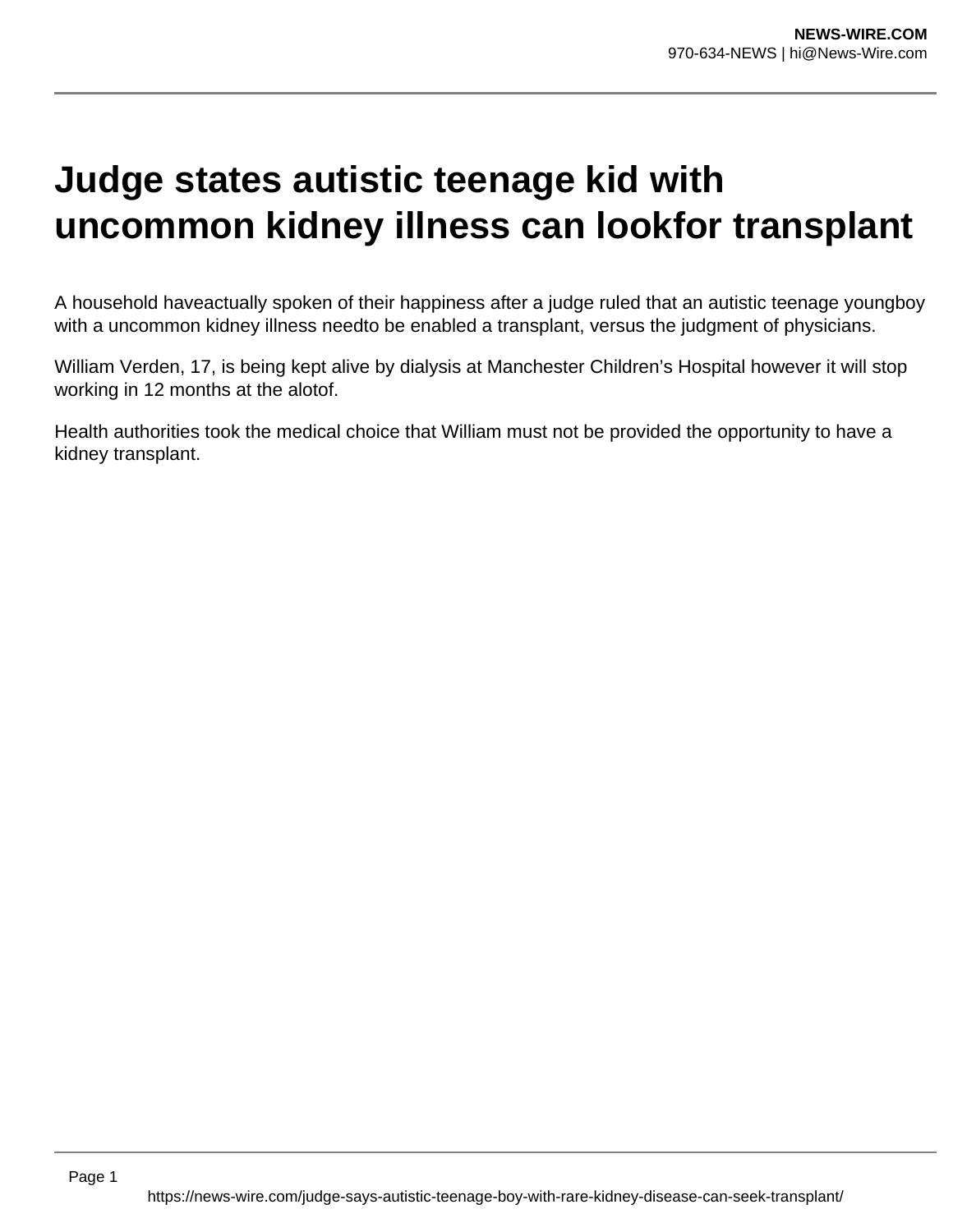## **Judge states autistic teenage kid with uncommon kidney illness can lookfor transplant**

A household haveactually spoken of their happiness after a judge ruled that an autistic teenage youngboy with a uncommon kidney illness needto be enabled a transplant, versus the judgment of physicians.

William Verden, 17, is being kept alive by dialysis at Manchester Children's Hospital however it will stop working in 12 months at the alotof.

Health authorities took the medical choice that William must not be provided the opportunity to have a kidney transplant.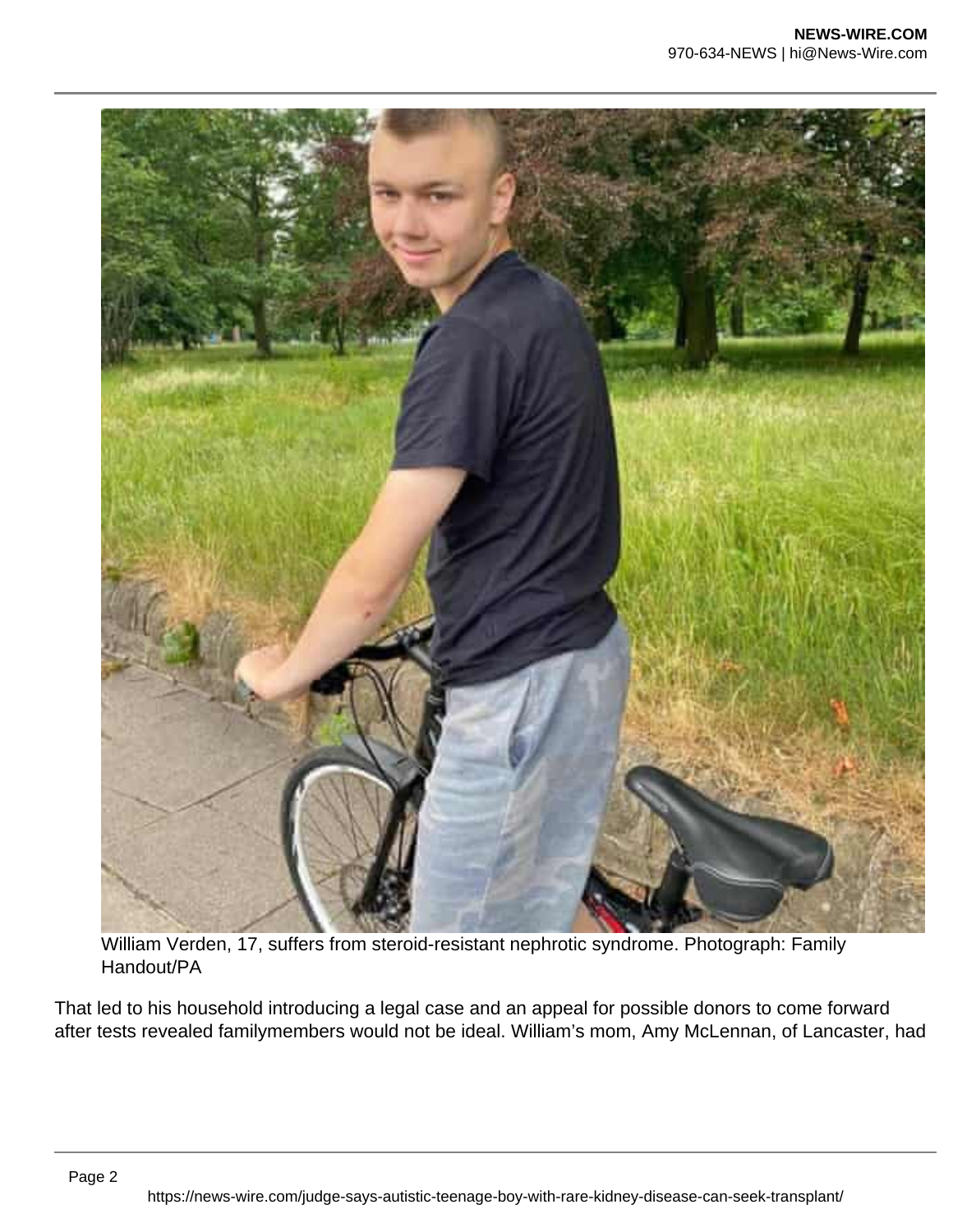

William Verden, 17, suffers from steroid-resistant nephrotic syndrome. Photograph: Family Handout/PA

That led to his household introducing a legal case and an appeal for possible donors to come forward after tests revealed familymembers would not be ideal. William's mom, Amy McLennan, of Lancaster, had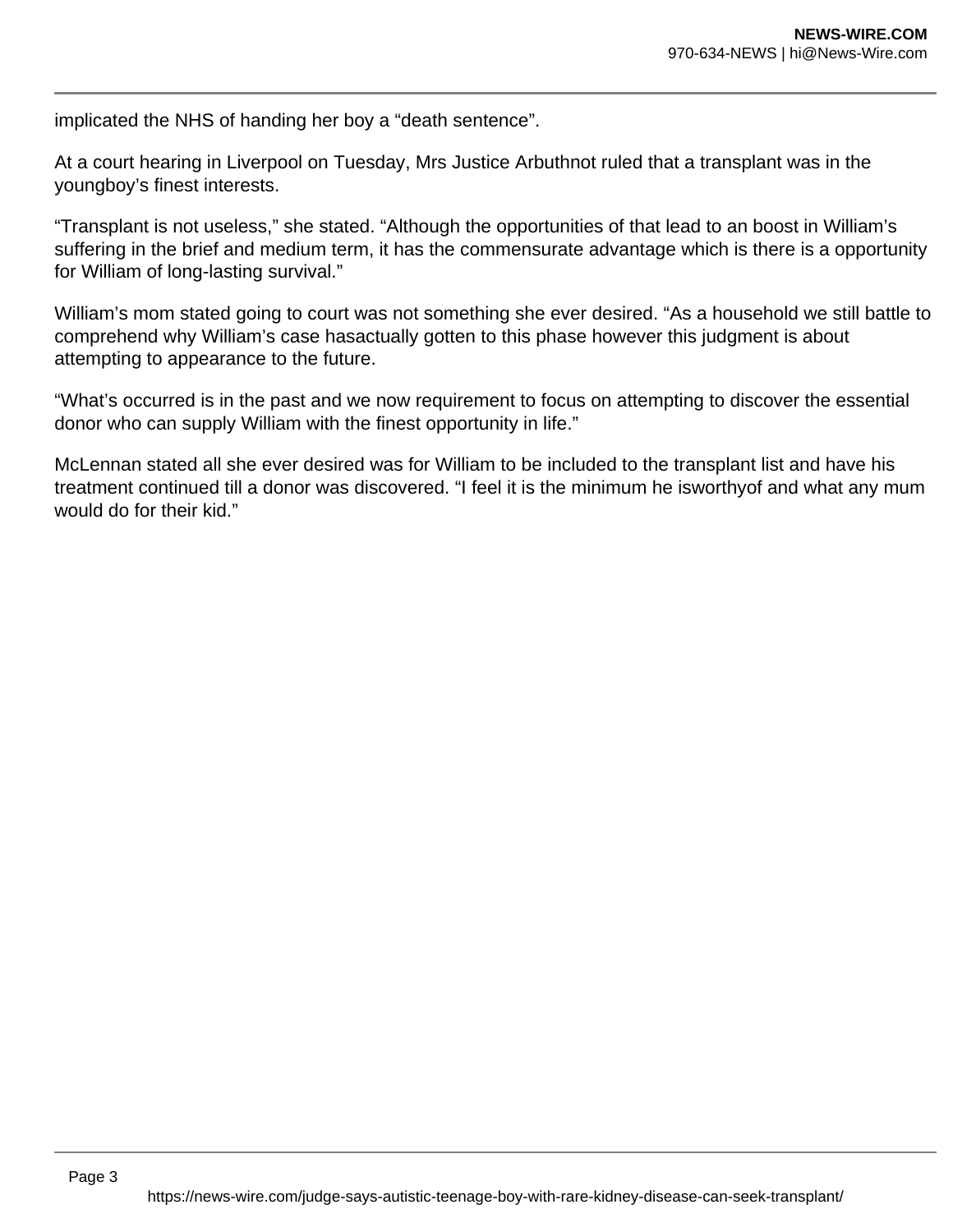implicated the NHS of handing her boy a "death sentence".

At a court hearing in Liverpool on Tuesday, Mrs Justice Arbuthnot ruled that a transplant was in the youngboy's finest interests.

"Transplant is not useless," she stated. "Although the opportunities of that lead to an boost in William's suffering in the brief and medium term, it has the commensurate advantage which is there is a opportunity for William of long-lasting survival."

William's mom stated going to court was not something she ever desired. "As a household we still battle to comprehend why William's case hasactually gotten to this phase however this judgment is about attempting to appearance to the future.

"What's occurred is in the past and we now requirement to focus on attempting to discover the essential donor who can supply William with the finest opportunity in life."

McLennan stated all she ever desired was for William to be included to the transplant list and have his treatment continued till a donor was discovered. "I feel it is the minimum he isworthyof and what any mum would do for their kid."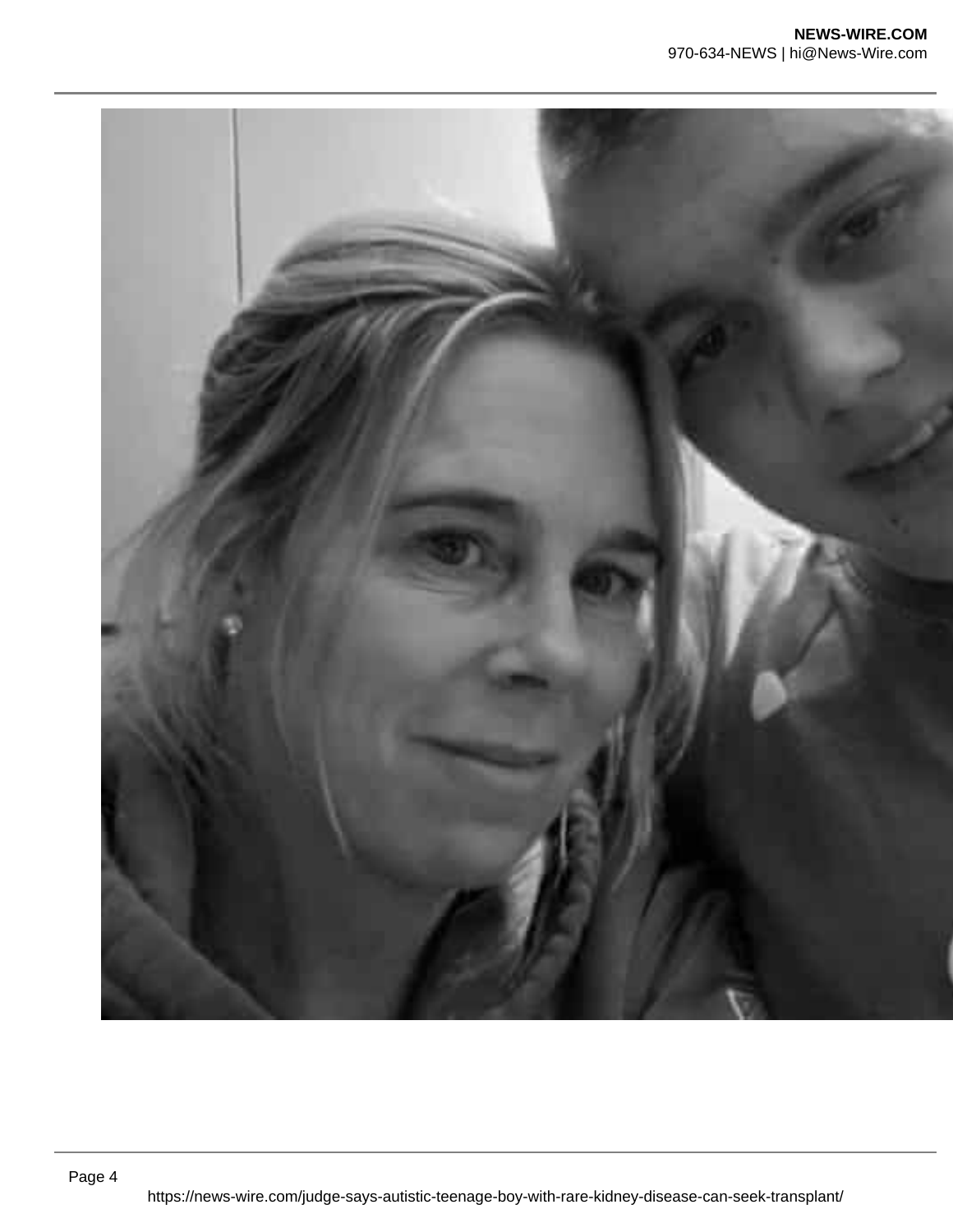